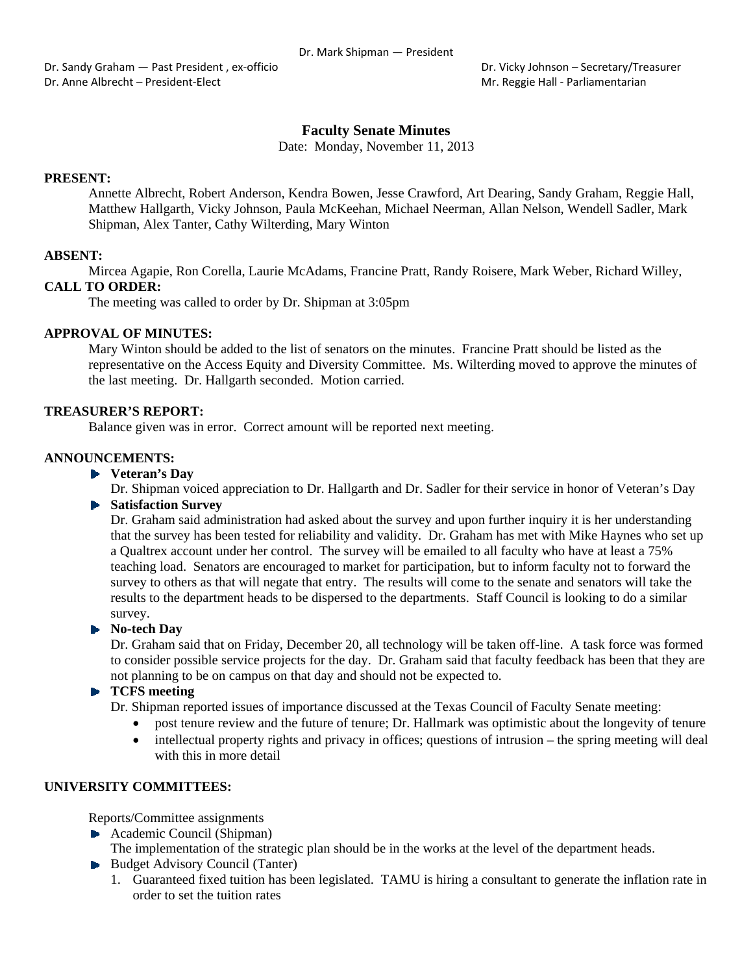Dr. Sandy Graham — Past President , ex‐officio Dr. Vicky Johnson – Secretary/Treasurer Dr. Anne Albrecht – President-Elect **Mateurs 2006** Mr. Reggie Hall - Parliamentarian

# **Faculty Senate Minutes**

Date: Monday, November 11, 2013

## **PRESENT:**

Annette Albrecht, Robert Anderson, Kendra Bowen, Jesse Crawford, Art Dearing, Sandy Graham, Reggie Hall, Matthew Hallgarth, Vicky Johnson, Paula McKeehan, Michael Neerman, Allan Nelson, Wendell Sadler, Mark Shipman, Alex Tanter, Cathy Wilterding, Mary Winton

#### **ABSENT:**

Mircea Agapie, Ron Corella, Laurie McAdams, Francine Pratt, Randy Roisere, Mark Weber, Richard Willey, **CALL TO ORDER:**

The meeting was called to order by Dr. Shipman at 3:05pm

#### **APPROVAL OF MINUTES:**

Mary Winton should be added to the list of senators on the minutes. Francine Pratt should be listed as the representative on the Access Equity and Diversity Committee. Ms. Wilterding moved to approve the minutes of the last meeting. Dr. Hallgarth seconded. Motion carried.

#### **TREASURER'S REPORT:**

Balance given was in error. Correct amount will be reported next meeting.

#### **ANNOUNCEMENTS:**

**Veteran's Day** 

Dr. Shipman voiced appreciation to Dr. Hallgarth and Dr. Sadler for their service in honor of Veteran's Day

**Satisfaction Survey** 

Dr. Graham said administration had asked about the survey and upon further inquiry it is her understanding that the survey has been tested for reliability and validity. Dr. Graham has met with Mike Haynes who set up a Qualtrex account under her control. The survey will be emailed to all faculty who have at least a 75% teaching load. Senators are encouraged to market for participation, but to inform faculty not to forward the survey to others as that will negate that entry. The results will come to the senate and senators will take the results to the department heads to be dispersed to the departments. Staff Council is looking to do a similar survey.

## **No-tech Day**

Dr. Graham said that on Friday, December 20, all technology will be taken off-line. A task force was formed to consider possible service projects for the day. Dr. Graham said that faculty feedback has been that they are not planning to be on campus on that day and should not be expected to.

# **TCFS meeting**

Dr. Shipman reported issues of importance discussed at the Texas Council of Faculty Senate meeting:

- post tenure review and the future of tenure; Dr. Hallmark was optimistic about the longevity of tenure
- intellectual property rights and privacy in offices; questions of intrusion the spring meeting will deal with this in more detail

#### **UNIVERSITY COMMITTEES:**

Reports/Committee assignments

- Academic Council (Shipman)
	- The implementation of the strategic plan should be in the works at the level of the department heads.
- Budget Advisory Council (Tanter)
	- 1. Guaranteed fixed tuition has been legislated. TAMU is hiring a consultant to generate the inflation rate in order to set the tuition rates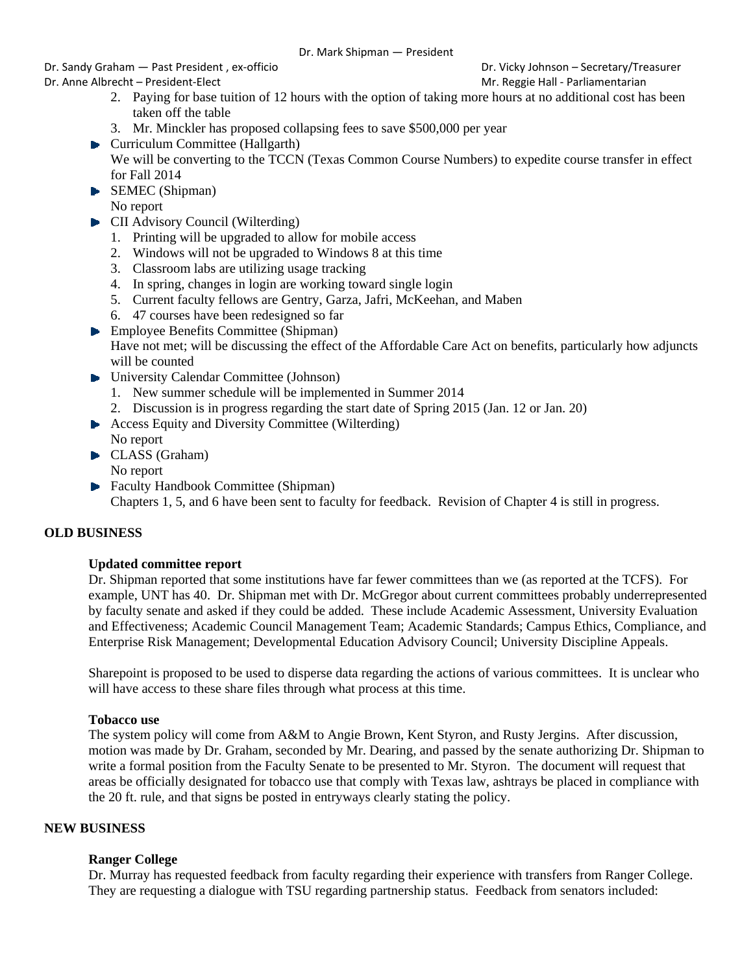Dr. Sandy Graham — Past President , ex‐officio Dr. Vicky Johnson – Secretary/Treasurer Dr. Anne Albrecht – President-Elect **Mateurs 2006** Mr. Reggie Hall - Parliamentarian

- 2. Paying for base tuition of 12 hours with the option of taking more hours at no additional cost has been taken off the table
- 3. Mr. Minckler has proposed collapsing fees to save \$500,000 per year
- **Curriculum Committee (Hallgarth)** We will be converting to the TCCN (Texas Common Course Numbers) to expedite course transfer in effect for Fall 2014
- SEMEC (Shipman) No report
- **CII** Advisory Council (Wilterding)
	- 1. Printing will be upgraded to allow for mobile access
	- 2. Windows will not be upgraded to Windows 8 at this time
	- 3. Classroom labs are utilizing usage tracking
	- 4. In spring, changes in login are working toward single login
	- 5. Current faculty fellows are Gentry, Garza, Jafri, McKeehan, and Maben
	- 6. 47 courses have been redesigned so far
- **Employee Benefits Committee (Shipman)**

Have not met; will be discussing the effect of the Affordable Care Act on benefits, particularly how adjuncts will be counted

- University Calendar Committee (Johnson)
	- 1. New summer schedule will be implemented in Summer 2014
	- 2. Discussion is in progress regarding the start date of Spring 2015 (Jan. 12 or Jan. 20)
- **Access Equity and Diversity Committee (Wilterding)**
- No report
- CLASS (Graham) No report
- **Faculty Handbook Committee (Shipman)** Chapters 1, 5, and 6 have been sent to faculty for feedback. Revision of Chapter 4 is still in progress.

# **OLD BUSINESS**

# **Updated committee report**

Dr. Shipman reported that some institutions have far fewer committees than we (as reported at the TCFS). For example, UNT has 40. Dr. Shipman met with Dr. McGregor about current committees probably underrepresented by faculty senate and asked if they could be added. These include Academic Assessment, University Evaluation and Effectiveness; Academic Council Management Team; Academic Standards; Campus Ethics, Compliance, and Enterprise Risk Management; Developmental Education Advisory Council; University Discipline Appeals.

Sharepoint is proposed to be used to disperse data regarding the actions of various committees. It is unclear who will have access to these share files through what process at this time.

# **Tobacco use**

The system policy will come from A&M to Angie Brown, Kent Styron, and Rusty Jergins. After discussion, motion was made by Dr. Graham, seconded by Mr. Dearing, and passed by the senate authorizing Dr. Shipman to write a formal position from the Faculty Senate to be presented to Mr. Styron. The document will request that areas be officially designated for tobacco use that comply with Texas law, ashtrays be placed in compliance with the 20 ft. rule, and that signs be posted in entryways clearly stating the policy.

# **NEW BUSINESS**

# **Ranger College**

Dr. Murray has requested feedback from faculty regarding their experience with transfers from Ranger College. They are requesting a dialogue with TSU regarding partnership status. Feedback from senators included: